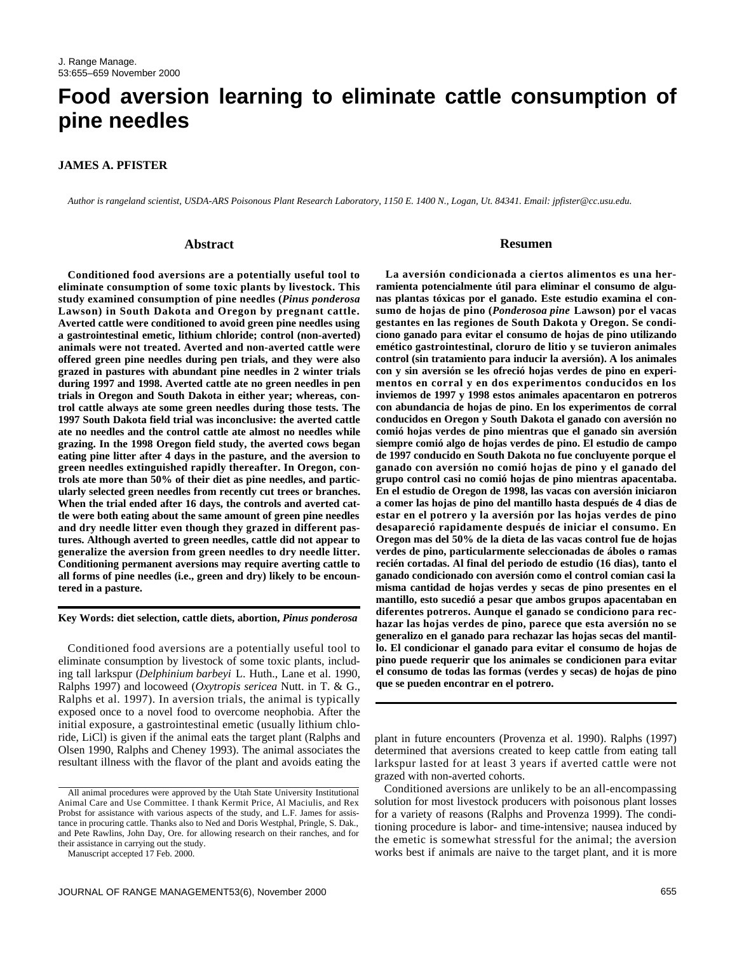# **Food aversion learning to eliminate cattle consumption of pine needles**

# **JAMES A. PFISTER**

*Author is rangeland scientist, USDA-ARS Poisonous Plant Research Laboratory, 1150 E. 1400 N., Logan, Ut. 84341. Email: jpfister@cc.usu.edu.*

# **Abstract**

**Conditioned food aversions are a potentially useful tool to eliminate consumption of some toxic plants by livestock. This study examined consumption of pine needles (***Pinus ponderosa* **Lawson) in South Dakota and Oregon by pregnant cattle. Averted cattle were conditioned to avoid green pine needles using a gastrointestinal emetic, lithium chloride; control (non-averted) animals were not treated. Averted and non-averted cattle were offered green pine needles during pen trials, and they were also grazed in pastures with abundant pine needles in 2 winter trials during 1997 and 1998. Averted cattle ate no green needles in pen trials in Oregon and South Dakota in either year; whereas, control cattle always ate some green needles during those tests. The 1997 South Dakota field trial was inconclusive: the averted cattle ate no needles and the control cattle ate almost no needles while grazing. In the 1998 Oregon field study, the averted cows began eating pine litter after 4 days in the pasture, and the aversion to green needles extinguished rapidly thereafter. In Oregon, controls ate more than 50% of their diet as pine needles, and particularly selected green needles from recently cut trees or branches. When the trial ended after 16 days, the controls and averted cattle were both eating about the same amount of green pine needles and dry needle litter even though they grazed in different pastures. Although averted to green needles, cattle did not appear to generalize the aversion from green needles to dry needle litter. Conditioning permanent aversions may require averting cattle to all forms of pine needles (i.e., green and dry) likely to be encountered in a pasture.** 

#### **Key Words: diet selection, cattle diets, abortion,** *Pinus ponderosa*

Conditioned food aversions are a potentially useful tool to eliminate consumption by livestock of some toxic plants, including tall larkspur (*Delphinium barbeyi* L. Huth., Lane et al. 1990, Ralphs 1997) and locoweed (*Oxytropis sericea* Nutt. in T. & G., Ralphs et al. 1997). In aversion trials, the animal is typically exposed once to a novel food to overcome neophobia. After the initial exposure, a gastrointestinal emetic (usually lithium chloride, LiCl) is given if the animal eats the target plant (Ralphs and Olsen 1990, Ralphs and Cheney 1993). The animal associates the resultant illness with the flavor of the plant and avoids eating the

Manuscript accepted 17 Feb. 2000.

#### **Resumen**

**La aversión condicionada a ciertos alimentos es una herramienta potencialmente útil para eliminar el consumo de algunas plantas tóxicas por el ganado. Este estudio examina el consumo de hojas de pino (***Ponderosoa pine* **Lawson) por el vacas gestantes en las regiones de South Dakota y Oregon. Se condiciono ganado para evitar el consumo de hojas de pino utilizando emético gastrointestinal, cloruro de litio y se tuvieron animales control (sin tratamiento para inducir la aversión). A los animales con y sin aversión se les ofreció hojas verdes de pino en experimentos en corral y en dos experimentos conducidos en los inviemos de 1997 y 1998 estos animales apacentaron en potreros con abundancia de hojas de pino. En los experimentos de corral conducidos en Oregon y South Dakota el ganado con aversión no comió hojas verdes de pino mientras que el ganado sin aversión siempre comió algo de hojas verdes de pino. El estudio de campo de 1997 conducido en South Dakota no fue concluyente porque el ganado con aversión no comió hojas de pino y el ganado del grupo control casi no comió hojas de pino mientras apacentaba. En el estudio de Oregon de 1998, las vacas con aversión iniciaron a comer las hojas de pino del mantillo hasta después de 4 dias de estar en el potrero y la aversión por las hojas verdes de pino desapareció rapidamente después de iniciar el consumo. En Oregon mas del 50% de la dieta de las vacas control fue de hojas verdes de pino, particularmente seleccionadas de áboles o ramas recién cortadas. Al final del periodo de estudio (16 dias), tanto el ganado condicionado con aversión como el control comian casi la misma cantidad de hojas verdes y secas de pino presentes en el mantillo, esto sucedió a pesar que ambos grupos apacentaban en diferentes potreros. Aunque el ganado se condiciono para rechazar las hojas verdes de pino, parece que esta aversión no se generalizo en el ganado para rechazar las hojas secas del mantillo. El condicionar el ganado para evitar el consumo de hojas de pino puede requerir que los animales se condicionen para evitar el consumo de todas las formas (verdes y secas) de hojas de pino que se pueden encontrar en el potrero.**

plant in future encounters (Provenza et al. 1990). Ralphs (1997) determined that aversions created to keep cattle from eating tall larkspur lasted for at least 3 years if averted cattle were not grazed with non-averted cohorts.

Conditioned aversions are unlikely to be an all-encompassing solution for most livestock producers with poisonous plant losses for a variety of reasons (Ralphs and Provenza 1999). The conditioning procedure is labor- and time-intensive; nausea induced by the emetic is somewhat stressful for the animal; the aversion works best if animals are naive to the target plant, and it is more

All animal procedures were approved by the Utah State University Institutional Animal Care and Use Committee. I thank Kermit Price, Al Maciulis, and Rex Probst for assistance with various aspects of the study, and L.F. James for assistance in procuring cattle. Thanks also to Ned and Doris Westphal, Pringle, S. Dak., and Pete Rawlins, John Day, Ore. for allowing research on their ranches, and for their assistance in carrying out the study.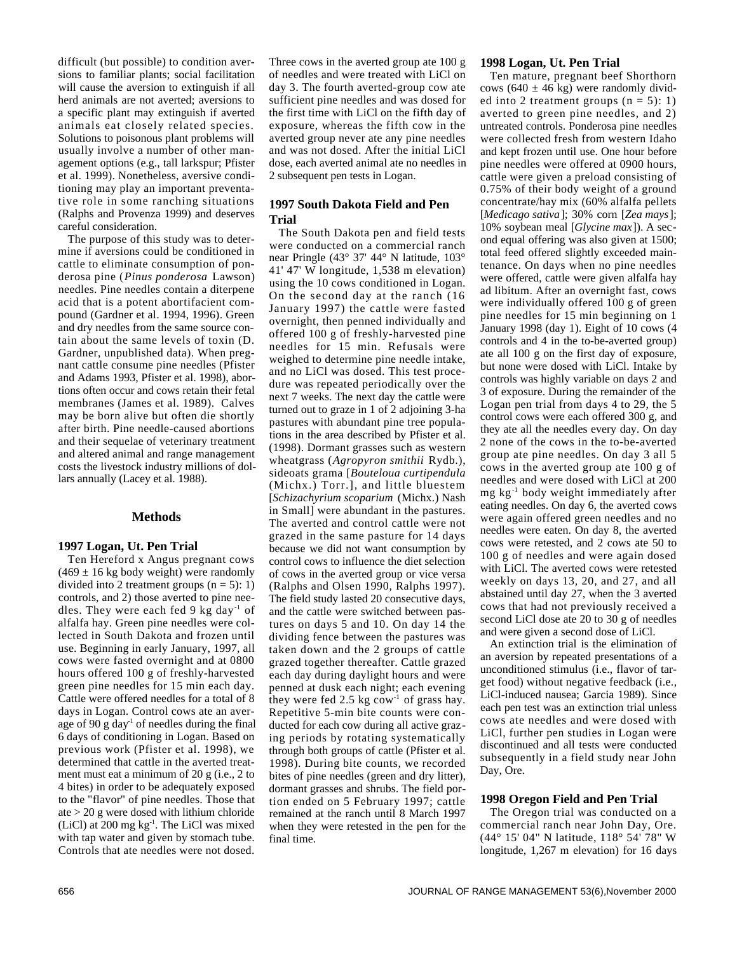difficult (but possible) to condition aversions to familiar plants; social facilitation will cause the aversion to extinguish if all herd animals are not averted; aversions to a specific plant may extinguish if averted animals eat closely related species. Solutions to poisonous plant problems will usually involve a number of other management options (e.g., tall larkspur; Pfister et al. 1999). Nonetheless, aversive conditioning may play an important preventative role in some ranching situations (Ralphs and Provenza 1999) and deserves careful consideration.

The purpose of this study was to determine if aversions could be conditioned in cattle to eliminate consumption of ponderosa pine (*Pinus ponderosa* Lawson) needles. Pine needles contain a diterpene acid that is a potent abortifacient compound (Gardner et al. 1994, 1996). Green and dry needles from the same source contain about the same levels of toxin (D. Gardner, unpublished data). When pregnant cattle consume pine needles (Pfister and Adams 1993, Pfister et al. 1998), abortions often occur and cows retain their fetal membranes (James et al. 1989). Calves may be born alive but often die shortly after birth. Pine needle-caused abortions and their sequelae of veterinary treatment and altered animal and range management costs the livestock industry millions of dollars annually (Lacey et al. 1988).

# **Methods**

# **1997 Logan, Ut. Pen Trial**

Ten Hereford x Angus pregnant cows  $(469 \pm 16 \text{ kg}$  body weight) were randomly divided into 2 treatment groups  $(n = 5)$ : 1) controls, and 2) those averted to pine needles. They were each fed 9 kg day<sup>-1</sup> of alfalfa hay. Green pine needles were collected in South Dakota and frozen until use. Beginning in early January, 1997, all cows were fasted overnight and at 0800 hours offered 100 g of freshly-harvested green pine needles for 15 min each day. Cattle were offered needles for a total of 8 days in Logan. Control cows ate an average of 90 g day<sup>-1</sup> of needles during the final 6 days of conditioning in Logan. Based on previous work (Pfister et al. 1998), we determined that cattle in the averted treatment must eat a minimum of 20 g (i.e., 2 to 4 bites) in order to be adequately exposed to the "flavor" of pine needles. Those that ate > 20 g were dosed with lithium chloride (LiCl) at  $200 \text{ mg kg}^{-1}$ . The LiCl was mixed with tap water and given by stomach tube. Controls that ate needles were not dosed.

Three cows in the averted group ate 100 g of needles and were treated with LiCl on day 3. The fourth averted-group cow ate sufficient pine needles and was dosed for the first time with LiCl on the fifth day of exposure, whereas the fifth cow in the averted group never ate any pine needles and was not dosed. After the initial LiCl dose, each averted animal ate no needles in 2 subsequent pen tests in Logan.

# **1997 South Dakota Field and Pen Trial**

The South Dakota pen and field tests were conducted on a commercial ranch near Pringle (43° 37' 44° N latitude, 103° 41' 47' W longitude, 1,538 m elevation) using the 10 cows conditioned in Logan. On the second day at the ranch (16 January 1997) the cattle were fasted overnight, then penned individually and offered 100 g of freshly-harvested pine needles for 15 min. Refusals were weighed to determine pine needle intake, and no LiCl was dosed. This test procedure was repeated periodically over the next 7 weeks. The next day the cattle were turned out to graze in 1 of 2 adjoining 3-ha pastures with abundant pine tree populations in the area described by Pfister et al. (1998). Dormant grasses such as western wheatgrass (*Agropyron smithii* Rydb.), sideoats grama [*Bouteloua curtipendula* (Michx.) Torr.], and little bluestem [*Schizachyrium scoparium* (Michx.) Nash in Small] were abundant in the pastures. The averted and control cattle were not grazed in the same pasture for 14 days because we did not want consumption by control cows to influence the diet selection of cows in the averted group or vice versa (Ralphs and Olsen 1990, Ralphs 1997). The field study lasted 20 consecutive days, and the cattle were switched between pastures on days 5 and 10. On day 14 the dividing fence between the pastures was taken down and the 2 groups of cattle grazed together thereafter. Cattle grazed each day during daylight hours and were penned at dusk each night; each evening they were fed 2.5 kg  $\text{row}^1$  of grass hay. Repetitive 5-min bite counts were conducted for each cow during all active grazing periods by rotating systematically through both groups of cattle (Pfister et al. 1998). During bite counts, we recorded bites of pine needles (green and dry litter), dormant grasses and shrubs. The field portion ended on 5 February 1997; cattle remained at the ranch until 8 March 1997 when they were retested in the pen for the final time.

### **1998 Logan, Ut. Pen Trial**

Ten mature, pregnant beef Shorthorn cows (640  $\pm$  46 kg) were randomly divided into 2 treatment groups  $(n = 5)$ : 1) averted to green pine needles, and 2) untreated controls. Ponderosa pine needles were collected fresh from western Idaho and kept frozen until use. One hour before pine needles were offered at 0900 hours, cattle were given a preload consisting of 0.75% of their body weight of a ground concentrate/hay mix (60% alfalfa pellets [*Medicago sativa*]; 30% corn [*Zea mays*]; 10% soybean meal [*Glycine max*]). A second equal offering was also given at 1500; total feed offered slightly exceeded maintenance. On days when no pine needles were offered, cattle were given alfalfa hay ad libitum. After an overnight fast, cows were individually offered 100 g of green pine needles for 15 min beginning on 1 January 1998 (day 1). Eight of 10 cows (4 controls and 4 in the to-be-averted group) ate all 100 g on the first day of exposure, but none were dosed with LiCl. Intake by controls was highly variable on days 2 and 3 of exposure. During the remainder of the Logan pen trial from days 4 to 29, the 5 control cows were each offered 300 g, and they ate all the needles every day. On day 2 none of the cows in the to-be-averted group ate pine needles. On day 3 all 5 cows in the averted group ate 100 g of needles and were dosed with LiCl at 200  $mg$  kg<sup>-1</sup> body weight immediately after eating needles. On day 6, the averted cows were again offered green needles and no needles were eaten. On day 8, the averted cows were retested, and 2 cows ate 50 to 100 g of needles and were again dosed with LiCl. The averted cows were retested weekly on days 13, 20, and 27, and all abstained until day 27, when the 3 averted cows that had not previously received a second LiCl dose ate 20 to 30 g of needles and were given a second dose of LiCl.

An extinction trial is the elimination of an aversion by repeated presentations of a unconditioned stimulus (i.e., flavor of target food) without negative feedback (i.e., LiCl-induced nausea; Garcia 1989). Since each pen test was an extinction trial unless cows ate needles and were dosed with LiCl, further pen studies in Logan were discontinued and all tests were conducted subsequently in a field study near John Day, Ore.

## **1998 Oregon Field and Pen Trial**

The Oregon trial was conducted on a commercial ranch near John Day, Ore. (44° 15' 04" N latitude, 118° 54' 78" W longitude, 1,267 m elevation) for 16 days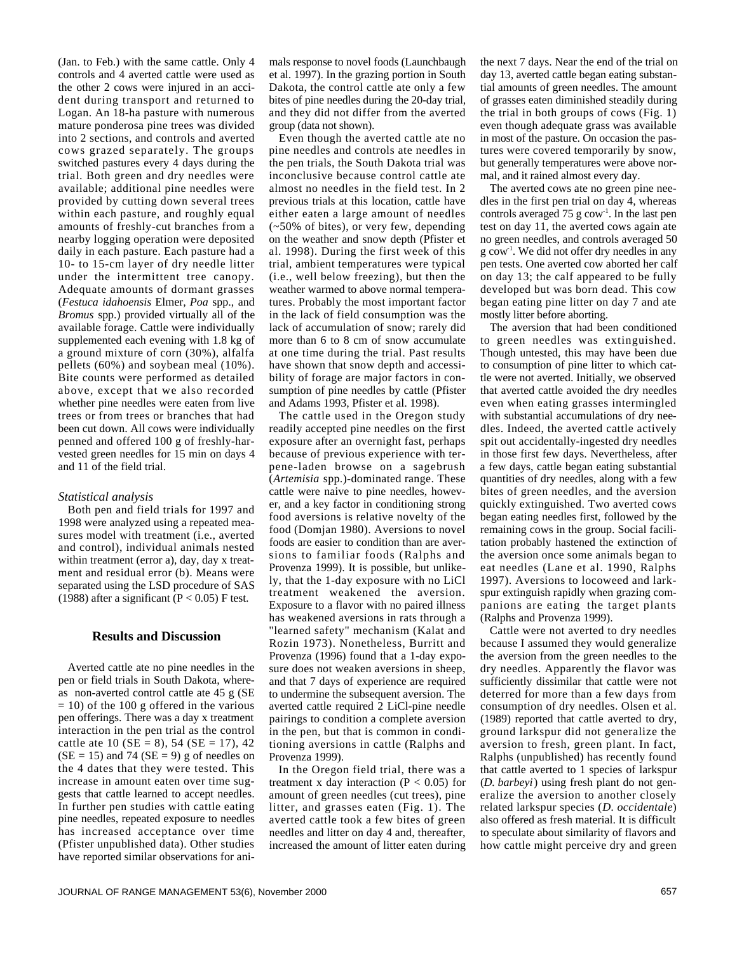(Jan. to Feb.) with the same cattle. Only 4 controls and 4 averted cattle were used as the other 2 cows were injured in an accident during transport and returned to Logan. An 18-ha pasture with numerous mature ponderosa pine trees was divided into 2 sections, and controls and averted cows grazed separately. The groups switched pastures every 4 days during the trial. Both green and dry needles were available; additional pine needles were provided by cutting down several trees within each pasture, and roughly equal amounts of freshly-cut branches from a nearby logging operation were deposited daily in each pasture. Each pasture had a 10- to 15-cm layer of dry needle litter under the intermittent tree canopy. Adequate amounts of dormant grasses (*Festuca idahoensis* Elmer, *Poa* spp., and *Bromus* spp.) provided virtually all of the available forage. Cattle were individually supplemented each evening with 1.8 kg of a ground mixture of corn (30%), alfalfa pellets (60%) and soybean meal (10%). Bite counts were performed as detailed above, except that we also recorded whether pine needles were eaten from live trees or from trees or branches that had been cut down. All cows were individually penned and offered 100 g of freshly-harvested green needles for 15 min on days 4 and 11 of the field trial.

# *Statistical analysis*

Both pen and field trials for 1997 and 1998 were analyzed using a repeated measures model with treatment (i.e., averted and control), individual animals nested within treatment (error a), day, day x treatment and residual error (b). Means were separated using the LSD procedure of SAS (1988) after a significant ( $P < 0.05$ ) F test.

# **Results and Discussion**

Averted cattle ate no pine needles in the pen or field trials in South Dakota, whereas non-averted control cattle ate 45 g (SE  $= 10$ ) of the 100 g offered in the various pen offerings. There was a day x treatment interaction in the pen trial as the control cattle ate 10 ( $SE = 8$ ), 54 ( $SE = 17$ ), 42  $(SE = 15)$  and 74  $(SE = 9)$  g of needles on the 4 dates that they were tested. This increase in amount eaten over time suggests that cattle learned to accept needles. In further pen studies with cattle eating pine needles, repeated exposure to needles has increased acceptance over time (Pfister unpublished data). Other studies have reported similar observations for animals response to novel foods (Launchbaugh et al. 1997). In the grazing portion in South Dakota, the control cattle ate only a few bites of pine needles during the 20-day trial, and they did not differ from the averted group (data not shown).

Even though the averted cattle ate no pine needles and controls ate needles in the pen trials, the South Dakota trial was inconclusive because control cattle ate almost no needles in the field test. In 2 previous trials at this location, cattle have either eaten a large amount of needles (~50% of bites), or very few, depending on the weather and snow depth (Pfister et al. 1998). During the first week of this trial, ambient temperatures were typical (i.e., well below freezing), but then the weather warmed to above normal temperatures. Probably the most important factor in the lack of field consumption was the lack of accumulation of snow; rarely did more than 6 to 8 cm of snow accumulate at one time during the trial. Past results have shown that snow depth and accessibility of forage are major factors in consumption of pine needles by cattle (Pfister and Adams 1993, Pfister et al. 1998).

The cattle used in the Oregon study readily accepted pine needles on the first exposure after an overnight fast, perhaps because of previous experience with terpene-laden browse on a sagebrush (*Artemisia* spp.)-dominated range. These cattle were naive to pine needles, however, and a key factor in conditioning strong food aversions is relative novelty of the food (Domjan 1980). Aversions to novel foods are easier to condition than are aversions to familiar foods (Ralphs and Provenza 1999). It is possible, but unlikely, that the 1-day exposure with no LiCl treatment weakened the aversion. Exposure to a flavor with no paired illness has weakened aversions in rats through a "learned safety" mechanism (Kalat and Rozin 1973). Nonetheless, Burritt and Provenza (1996) found that a 1-day exposure does not weaken aversions in sheep, and that 7 days of experience are required to undermine the subsequent aversion. The averted cattle required 2 LiCl-pine needle pairings to condition a complete aversion in the pen, but that is common in conditioning aversions in cattle (Ralphs and Provenza 1999).

In the Oregon field trial, there was a treatment x day interaction ( $P < 0.05$ ) for amount of green needles (cut trees), pine litter, and grasses eaten (Fig. 1). The averted cattle took a few bites of green needles and litter on day 4 and, thereafter, increased the amount of litter eaten during

the next 7 days. Near the end of the trial on day 13, averted cattle began eating substantial amounts of green needles. The amount of grasses eaten diminished steadily during the trial in both groups of cows (Fig. 1) even though adequate grass was available in most of the pasture. On occasion the pastures were covered temporarily by snow, but generally temperatures were above normal, and it rained almost every day.

The averted cows ate no green pine needles in the first pen trial on day 4, whereas controls averaged 75 g  $\text{row}^1$ . In the last pen test on day 11, the averted cows again ate no green needles, and controls averaged 50  $g \text{ cow}^1$ . We did not offer dry needles in any pen tests. One averted cow aborted her calf on day 13; the calf appeared to be fully developed but was born dead. This cow began eating pine litter on day 7 and ate mostly litter before aborting.

The aversion that had been conditioned to green needles was extinguished. Though untested, this may have been due to consumption of pine litter to which cattle were not averted. Initially, we observed that averted cattle avoided the dry needles even when eating grasses intermingled with substantial accumulations of dry needles. Indeed, the averted cattle actively spit out accidentally-ingested dry needles in those first few days. Nevertheless, after a few days, cattle began eating substantial quantities of dry needles, along with a few bites of green needles, and the aversion quickly extinguished. Two averted cows began eating needles first, followed by the remaining cows in the group. Social facilitation probably hastened the extinction of the aversion once some animals began to eat needles (Lane et al. 1990, Ralphs 1997). Aversions to locoweed and larkspur extinguish rapidly when grazing companions are eating the target plants (Ralphs and Provenza 1999).

Cattle were not averted to dry needles because I assumed they would generalize the aversion from the green needles to the dry needles. Apparently the flavor was sufficiently dissimilar that cattle were not deterred for more than a few days from consumption of dry needles. Olsen et al. (1989) reported that cattle averted to dry, ground larkspur did not generalize the aversion to fresh, green plant. In fact, Ralphs (unpublished) has recently found that cattle averted to 1 species of larkspur (*D. barbeyi*) using fresh plant do not generalize the aversion to another closely related larkspur species (*D. occidentale*) also offered as fresh material. It is difficult to speculate about similarity of flavors and how cattle might perceive dry and green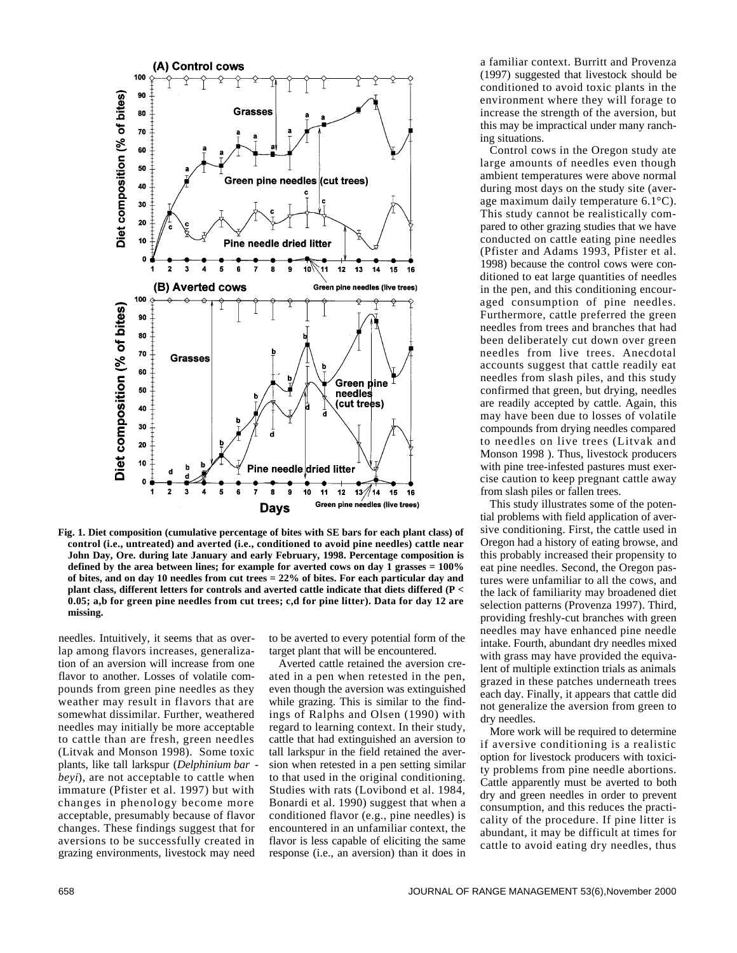

**Fig. 1. Diet composition (cumulative percentage of bites with SE bars for each plant class) of control (i.e., untreated) and averted (i.e., conditioned to avoid pine needles) cattle near John Day, Ore. during late January and early February, 1998. Percentage composition is defined by the area between lines; for example for averted cows on day 1 grasses = 100% of bites, and on day 10 needles from cut trees = 22% of bites. For each particular day and plant class, different letters for controls and averted cattle indicate that diets differed (P < 0.05; a,b for green pine needles from cut trees; c,d for pine litter). Data for day 12 are missing.**

needles. Intuitively, it seems that as overlap among flavors increases, generalization of an aversion will increase from one flavor to another. Losses of volatile compounds from green pine needles as they weather may result in flavors that are somewhat dissimilar. Further, weathered needles may initially be more acceptable to cattle than are fresh, green needles (Litvak and Monson 1998). Some toxic plants, like tall larkspur (*Delphinium bar beyi*), are not acceptable to cattle when immature (Pfister et al. 1997) but with changes in phenology become more acceptable, presumably because of flavor changes. These findings suggest that for aversions to be successfully created in grazing environments, livestock may need

to be averted to every potential form of the target plant that will be encountered.

Averted cattle retained the aversion created in a pen when retested in the pen, even though the aversion was extinguished while grazing. This is similar to the findings of Ralphs and Olsen (1990) with regard to learning context. In their study, cattle that had extinguished an aversion to tall larkspur in the field retained the aversion when retested in a pen setting similar to that used in the original conditioning. Studies with rats (Lovibond et al. 1984, Bonardi et al. 1990) suggest that when a conditioned flavor (e.g., pine needles) is encountered in an unfamiliar context, the flavor is less capable of eliciting the same response (i.e., an aversion) than it does in

a familiar context. Burritt and Provenza (1997) suggested that livestock should be conditioned to avoid toxic plants in the environment where they will forage to increase the strength of the aversion, but this may be impractical under many ranching situations.

Control cows in the Oregon study ate large amounts of needles even though ambient temperatures were above normal during most days on the study site (average maximum daily temperature 6.1°C). This study cannot be realistically compared to other grazing studies that we have conducted on cattle eating pine needles (Pfister and Adams 1993, Pfister et al. 1998) because the control cows were conditioned to eat large quantities of needles in the pen, and this conditioning encouraged consumption of pine needles. Furthermore, cattle preferred the green needles from trees and branches that had been deliberately cut down over green needles from live trees. Anecdotal accounts suggest that cattle readily eat needles from slash piles, and this study confirmed that green, but drying, needles are readily accepted by cattle. Again, this may have been due to losses of volatile compounds from drying needles compared to needles on live trees (Litvak and Monson 1998 ). Thus, livestock producers with pine tree-infested pastures must exercise caution to keep pregnant cattle away from slash piles or fallen trees.

This study illustrates some of the potential problems with field application of aversive conditioning. First, the cattle used in Oregon had a history of eating browse, and this probably increased their propensity to eat pine needles. Second, the Oregon pastures were unfamiliar to all the cows, and the lack of familiarity may broadened diet selection patterns (Provenza 1997). Third, providing freshly-cut branches with green needles may have enhanced pine needle intake. Fourth, abundant dry needles mixed with grass may have provided the equivalent of multiple extinction trials as animals grazed in these patches underneath trees each day. Finally, it appears that cattle did not generalize the aversion from green to dry needles.

More work will be required to determine if aversive conditioning is a realistic option for livestock producers with toxicity problems from pine needle abortions. Cattle apparently must be averted to both dry and green needles in order to prevent consumption, and this reduces the practicality of the procedure. If pine litter is abundant, it may be difficult at times for cattle to avoid eating dry needles, thus